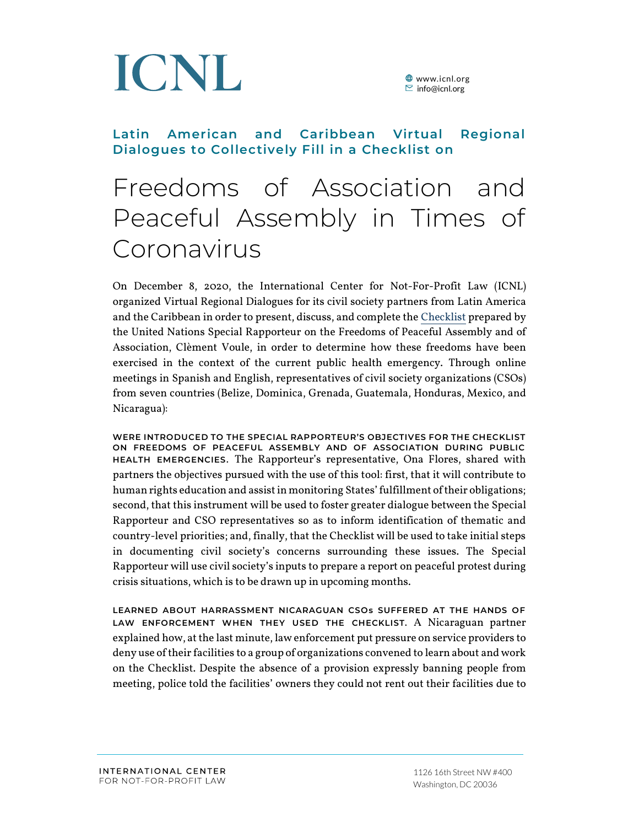

**<sup>●</sup>** www.icnl.org  $\Xi$  info@icnl.org

# **Latin American and Caribbean Virtual Regional Dialogues to Collectively Fill in a Checklist on**

# Freedoms of Association and Peaceful Assembly in Times of Coronavirus

On December 8, 2020, the International Center for Not-For-Profit Law (ICNL) organized Virtual Regional Dialogues for its civil society partners from Latin America and the Caribbean in order to present, discuss, and complete th[e Checklist](https://www.ohchr.org/EN/Issues/AssemblyAssociation/Pages/Covid19freedomAssembly.aspx) prepared by the United Nations Special Rapporteur on the Freedoms of Peaceful Assembly and of Association, Clèment Voule, in order to determine how these freedoms have been exercised in the context of the current public health emergency. Through online meetings in Spanish and English, representatives of civil society organizations (CSOs) from seven countries (Belize, Dominica, Grenada, Guatemala, Honduras, Mexico, and Nicaragua):

**WERE INTRODUCED TO THE SPECIAL RAPPORTEUR'S OBJECTIVES FOR THE CHECKLIST ON FREEDOMS OF PEACEFUL ASSEMBLY AND OF ASSOCIATION DURING PUBLIC HEALTH EMERGENCIES.** The Rapporteur's representative, Ona Flores, shared with partners the objectives pursued with the use of this tool: first, that it will contribute to human rights education and assist in monitoring States'fulfillment of their obligations; second, that this instrument will be used to foster greater dialogue between the Special Rapporteur and CSO representatives so as to inform identification of thematic and country-level priorities; and, finally, that the Checklist will be used to take initial steps in documenting civil society's concerns surrounding these issues. The Special Rapporteur will use civil society's inputs to prepare a report on peaceful protest during crisis situations, which is to be drawn up in upcoming months.

**LEARNED ABOUT HARRASSMENT NICARAGUAN CSOs SUFFERED AT THE HANDS OF LAW ENFORCEMENT WHEN THEY USED THE CHECKLIST.** A Nicaraguan partner explained how, at the last minute, law enforcement put pressure on service providers to deny use of their facilities to a group of organizations convened to learn about and work on the Checklist. Despite the absence of a provision expressly banning people from meeting, police told the facilities' owners they could not rent out their facilities due to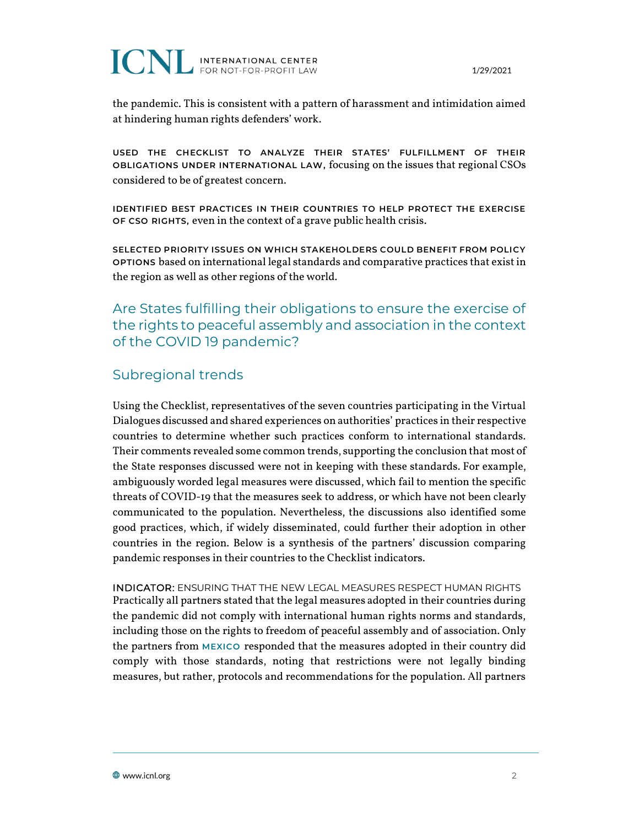

1/29/2021

the pandemic. This is consistent with a pattern of harassment and intimidation aimed at hindering human rights defenders' work.

**USED THE CHECKLIST TO ANALYZE THEIR STATES' FULFILLMENT OF THEIR OBLIGATIONS UNDER INTERNATIONAL LAW,** focusing on the issues that regional CSOs considered to be of greatest concern.

**IDENTIFIED BEST PRACTICES IN THEIR COUNTRIES TO HELP PROTECT THE EXERCISE OF CSO RIGHTS,** even in the context of a grave public health crisis.

**SELECTED PRIORITY ISSUES ON WHICH STAKEHOLDERS COULD BENEFIT FROM POLICY OPTIONS** based on international legal standards and comparative practices that exist in the region as well as other regions of the world.

Are States fulfilling their obligations to ensure the exercise of the rights to peaceful assembly and association in the context of the COVID 19 pandemic?

## Subregional trends

Using the Checklist, representatives of the seven countries participating in the Virtual Dialogues discussed and shared experiences on authorities' practices in their respective countries to determine whether such practices conform to international standards. Their comments revealed some common trends, supporting the conclusion that most of the State responses discussed were not in keeping with these standards. For example, ambiguously worded legal measures were discussed, which fail to mention the specific threats of COVID-19 that the measures seek to address, or which have not been clearly communicated to the population. Nevertheless, the discussions also identified some good practices, which, if widely disseminated, could further their adoption in other countries in the region. Below is a synthesis of the partners' discussion comparing pandemic responses in their countries to the Checklist indicators.

INDICATOR: ENSURING THAT THE NEW LEGAL MEASURES RESPECT HUMAN RIGHTS Practically all partners stated that the legal measures adopted in their countries during the pandemic did not comply with international human rights norms and standards, including those on the rights to freedom of peaceful assembly and of association. Only the partners from **MEXICO** responded that the measures adopted in their country did comply with those standards, noting that restrictions were not legally binding measures, but rather, protocols and recommendations for the population. All partners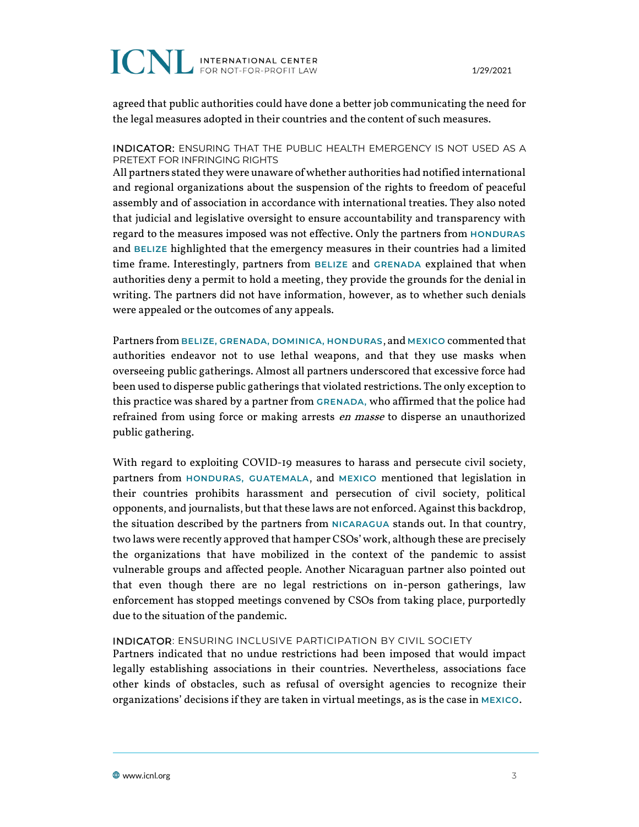# **ICNL INTERNATIONAL CENTER**

1/29/2021

agreed that public authorities could have done a better job communicating the need for the legal measures adopted in their countries and the content of such measures.

#### INDICATOR: ENSURING THAT THE PUBLIC HEALTH EMERGENCY IS NOT USED AS A PRETEXT FOR INFRINGING RIGHTS

All partners stated they were unaware of whether authorities had notified international and regional organizations about the suspension of the rights to freedom of peaceful assembly and of association in accordance with international treaties. They also noted that judicial and legislative oversight to ensure accountability and transparency with regard to the measures imposed was not effective. Only the partners from **HONDURAS** and **BELIZE** highlighted that the emergency measures in their countries had a limited time frame. Interestingly, partners from **BELIZE** and **GRENADA** explained that when authorities deny a permit to hold a meeting, they provide the grounds for the denial in writing. The partners did not have information, however, as to whether such denials were appealed or the outcomes of any appeals.

Partners from **BELIZE, GRENADA, DOMINICA, HONDURAS**, and **MEXICO** commented that authorities endeavor not to use lethal weapons, and that they use masks when overseeing public gatherings. Almost all partners underscored that excessive force had been used to disperse public gatherings that violated restrictions. The only exception to this practice was shared by a partner from **GRENADA,** who affirmed that the police had refrained from using force or making arrests *en masse* to disperse an unauthorized public gathering.

With regard to exploiting COVID-19 measures to harass and persecute civil society, partners from **HONDURAS, GUATEMALA**, and **MEXICO** mentioned that legislation in their countries prohibits harassment and persecution of civil society, political opponents, and journalists, but that these laws are not enforced. Against this backdrop, the situation described by the partners from **NICARAGUA** stands out. In that country, two laws were recently approved that hamper CSOs'work, although these are precisely the organizations that have mobilized in the context of the pandemic to assist vulnerable groups and affected people. Another Nicaraguan partner also pointed out that even though there are no legal restrictions on in-person gatherings, law enforcement has stopped meetings convened by CSOs from taking place, purportedly due to the situation of the pandemic.

#### INDICATOR: ENSURING INCLUSIVE PARTICIPATION BY CIVIL SOCIETY

Partners indicated that no undue restrictions had been imposed that would impact legally establishing associations in their countries. Nevertheless, associations face other kinds of obstacles, such as refusal of oversight agencies to recognize their organizations' decisions if they are taken in virtual meetings, as is the case in **MEXICO**.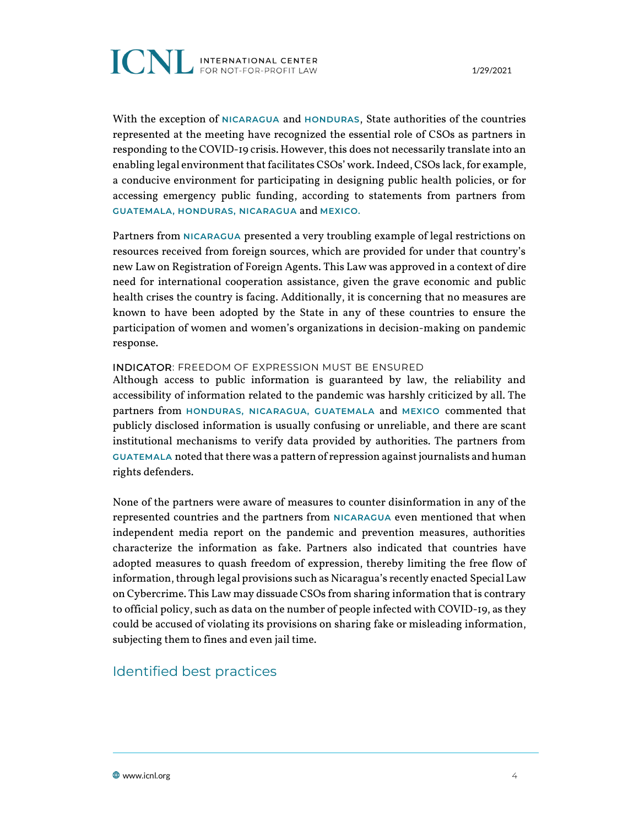

1/29/2021

With the exception of **NICARAGUA** and **HONDURAS**, State authorities of the countries represented at the meeting have recognized the essential role of CSOs as partners in responding to the COVID-19 crisis. However, this does not necessarily translate into an enabling legal environment that facilitates CSOs' work. Indeed, CSOs lack, for example, a conducive environment for participating in designing public health policies, or for accessing emergency public funding, according to statements from partners from **GUATEMALA, HONDURAS, NICARAGUA** and **MEXICO.** 

Partners from **NICARAGUA** presented a very troubling example of legal restrictions on resources received from foreign sources, which are provided for under that country's new Law on Registration of Foreign Agents. This Law was approved in a context of dire need for international cooperation assistance, given the grave economic and public health crises the country is facing. Additionally, it is concerning that no measures are known to have been adopted by the State in any of these countries to ensure the participation of women and women's organizations in decision-making on pandemic response.

#### INDICATOR: FREEDOM OF EXPRESSION MUST BE ENSURED

Although access to public information is guaranteed by law, the reliability and accessibility of information related to the pandemic was harshly criticized by all. The partners from **HONDURAS, NICARAGUA, GUATEMALA** and **MEXICO** commented that publicly disclosed information is usually confusing or unreliable, and there are scant institutional mechanisms to verify data provided by authorities. The partners from **GUATEMALA** noted that there was a pattern of repression againstjournalists and human rights defenders.

None of the partners were aware of measures to counter disinformation in any of the represented countries and the partners from **NICARAGUA** even mentioned that when independent media report on the pandemic and prevention measures, authorities characterize the information as fake. Partners also indicated that countries have adopted measures to quash freedom of expression, thereby limiting the free flow of information, through legal provisions such as Nicaragua's recently enacted Special Law on Cybercrime. This Law may dissuade CSOs from sharing information that is contrary to official policy, such as data on the number of people infected with COVID-19, as they could be accused of violating its provisions on sharing fake or misleading information, subjecting them to fines and even jail time.

#### Identified best practices